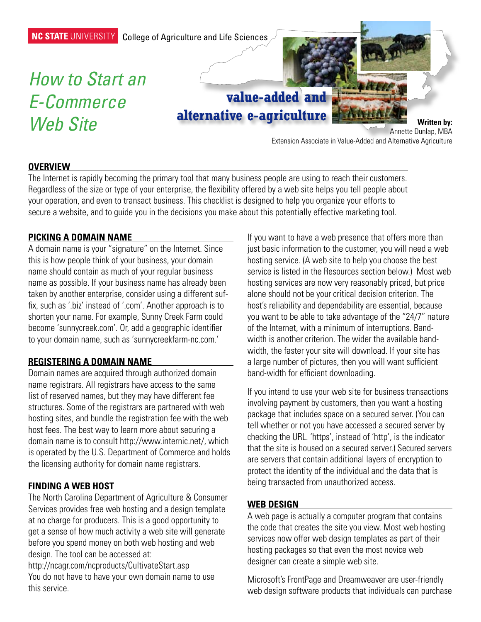

#### **Overview**

The Internet is rapidly becoming the primary tool that many business people are using to reach their customers. Regardless of the size or type of your enterprise, the flexibility offered by a web site helps you tell people about your operation, and even to transact business. This checklist is designed to help you organize your efforts to secure a website, and to guide you in the decisions you make about this potentially effective marketing tool.

#### **Picking a domain name**

A domain name is your "signature" on the Internet. Since this is how people think of your business, your domain name should contain as much of your regular business name as possible. If your business name has already been taken by another enterprise, consider using a different suffix, such as '.biz' instead of '.com'. Another approach is to shorten your name. For example, Sunny Creek Farm could become 'sunnycreek.com'. Or, add a geographic identifier to your domain name, such as 'sunnycreekfarm-nc.com.'

### **Registering a domain name**

Domain names are acquired through authorized domain name registrars. All registrars have access to the same list of reserved names, but they may have different fee structures. Some of the registrars are partnered with web hosting sites, and bundle the registration fee with the web host fees. The best way to learn more about securing a domain name is to consult http://www.internic.net/, which is operated by the U.S. Department of Commerce and holds the licensing authority for domain name registrars.

### **Finding a web host**

The North Carolina Department of Agriculture & Consumer Services provides free web hosting and a design template at no charge for producers. This is a good opportunity to get a sense of how much activity a web site will generate before you spend money on both web hosting and web design. The tool can be accessed at:

http://ncagr.com/ncproducts/CultivateStart.asp You do not have to have your own domain name to use this service.

If you want to have a web presence that offers more than just basic information to the customer, you will need a web hosting service. (A web site to help you choose the best service is listed in the Resources section below.) Most web hosting services are now very reasonably priced, but price alone should not be your critical decision criterion. The host's reliability and dependability are essential, because you want to be able to take advantage of the "24/7" nature of the Internet, with a minimum of interruptions. Bandwidth is another criterion. The wider the available bandwidth, the faster your site will download. If your site has a large number of pictures, then you will want sufficient band-width for efficient downloading.

If you intend to use your web site for business transactions involving payment by customers, then you want a hosting package that includes space on a secured server. (You can tell whether or not you have accessed a secured server by checking the URL. 'https', instead of 'http', is the indicator that the site is housed on a secured server.) Secured servers are servers that contain additional layers of encryption to protect the identity of the individual and the data that is being transacted from unauthorized access.

## **Web design**

A web page is actually a computer program that contains the code that creates the site you view. Most web hosting services now offer web design templates as part of their hosting packages so that even the most novice web designer can create a simple web site.

Microsoft's FrontPage and Dreamweaver are user-friendly web design software products that individuals can purchase